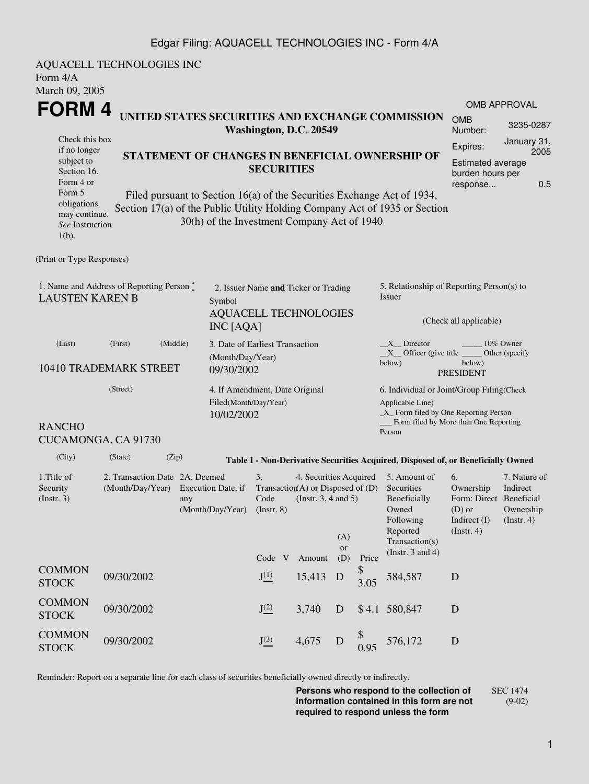### Edgar Filing: AQUACELL TECHNOLOGIES INC - Form 4/A

| AQUACELL TECHNOLOGIES INC<br>Form 4/A                                                                                                      |                                                                                                                                                                                                                                                                                                                                                                                                                                                                                                  |       |                                                                                                                                                               |                                                         |                  |             |                                                                                                                            |                                                                                                                                                                 |                                                                                                                                                          |  |  |
|--------------------------------------------------------------------------------------------------------------------------------------------|--------------------------------------------------------------------------------------------------------------------------------------------------------------------------------------------------------------------------------------------------------------------------------------------------------------------------------------------------------------------------------------------------------------------------------------------------------------------------------------------------|-------|---------------------------------------------------------------------------------------------------------------------------------------------------------------|---------------------------------------------------------|------------------|-------------|----------------------------------------------------------------------------------------------------------------------------|-----------------------------------------------------------------------------------------------------------------------------------------------------------------|----------------------------------------------------------------------------------------------------------------------------------------------------------|--|--|
| subject to<br>Form 4 or<br>Form 5<br>$1(b)$ .                                                                                              | March 09, 2005<br><b>FORM4</b><br>UNITED STATES SECURITIES AND EXCHANGE COMMISSION<br>Washington, D.C. 20549<br>Check this box<br>if no longer<br>STATEMENT OF CHANGES IN BENEFICIAL OWNERSHIP OF<br><b>SECURITIES</b><br>Section 16.<br>Filed pursuant to Section 16(a) of the Securities Exchange Act of 1934,<br>obligations<br>Section 17(a) of the Public Utility Holding Company Act of 1935 or Section<br>may continue.<br>30(h) of the Investment Company Act of 1940<br>See Instruction |       |                                                                                                                                                               |                                                         |                  |             |                                                                                                                            |                                                                                                                                                                 | OMB APPROVAL<br><b>OMB</b><br>3235-0287<br>Number:<br>January 31,<br>Expires:<br>2005<br><b>Estimated average</b><br>burden hours per<br>0.5<br>response |  |  |
| (Print or Type Responses)<br>1. Name and Address of Reporting Person*<br><b>LAUSTEN KAREN B</b>                                            |                                                                                                                                                                                                                                                                                                                                                                                                                                                                                                  |       | 2. Issuer Name and Ticker or Trading<br>Symbol<br><b>AQUACELL TECHNOLOGIES</b><br>INC [AQA]                                                                   |                                                         |                  |             |                                                                                                                            | 5. Relationship of Reporting Person(s) to<br>Issuer<br>(Check all applicable)                                                                                   |                                                                                                                                                          |  |  |
| (Middle)<br>(Last)<br>(First)<br>10410 TRADEMARK STREET                                                                                    |                                                                                                                                                                                                                                                                                                                                                                                                                                                                                                  |       | 3. Date of Earliest Transaction<br>(Month/Day/Year)<br>09/30/2002                                                                                             |                                                         |                  |             | 10% Owner<br>X Director<br>$X$ Officer (give title $\frac{1}{x}$<br>Other (specify<br>below)<br>below)<br><b>PRESIDENT</b> |                                                                                                                                                                 |                                                                                                                                                          |  |  |
| (Street)<br><b>RANCHO</b><br>CUCAMONGA, CA 91730                                                                                           |                                                                                                                                                                                                                                                                                                                                                                                                                                                                                                  |       | 10/02/2002                                                                                                                                                    | 4. If Amendment, Date Original<br>Filed(Month/Day/Year) |                  |             |                                                                                                                            | 6. Individual or Joint/Group Filing(Check<br>Applicable Line)<br>$\_X$ Form filed by One Reporting Person<br>__ Form filed by More than One Reporting<br>Person |                                                                                                                                                          |  |  |
| (City)                                                                                                                                     | (State)                                                                                                                                                                                                                                                                                                                                                                                                                                                                                          | (Zip) |                                                                                                                                                               |                                                         |                  |             |                                                                                                                            | Table I - Non-Derivative Securities Acquired, Disposed of, or Beneficially Owned                                                                                |                                                                                                                                                          |  |  |
| 1. Title of<br>2. Transaction Date 2A. Deemed<br>Security<br>(Month/Day/Year) Execution Date, if<br>(Insert. 3)<br>any<br>(Month/Day/Year) |                                                                                                                                                                                                                                                                                                                                                                                                                                                                                                  |       | 3.<br>4. Securities Acquired<br>Transaction(A) or Disposed of (D) Securities<br>$\rm Code$<br>(Instr. $3, 4$ and $5$ )<br>$($ Instr. $8)$<br>(A)<br><b>or</b> |                                                         |                  |             | 5. Amount of<br>Beneficially<br>Owned<br>Following<br>Reported<br>Transaction(s)<br>(Instr. $3$ and $4$ )                  | 6.<br>Ownership<br>Form: Direct Beneficial<br>$(D)$ or<br>Indirect (I)<br>$($ Instr. 4 $)$                                                                      | 7. Nature of<br>Indirect<br>Ownership<br>$($ Instr. 4 $)$                                                                                                |  |  |
| <b>COMMON</b><br><b>STOCK</b>                                                                                                              | 09/30/2002                                                                                                                                                                                                                                                                                                                                                                                                                                                                                       |       |                                                                                                                                                               | Code V<br>$J^{(1)}$                                     | Amount<br>15,413 | (D)<br>D    | Price<br>\$<br>3.05                                                                                                        | 584,587                                                                                                                                                         | D                                                                                                                                                        |  |  |
| <b>COMMON</b><br><b>STOCK</b>                                                                                                              | 09/30/2002                                                                                                                                                                                                                                                                                                                                                                                                                                                                                       |       |                                                                                                                                                               | $J^{(2)}_{-}$                                           | 3,740            | D           | \$4.1                                                                                                                      | 580,847                                                                                                                                                         | D                                                                                                                                                        |  |  |
| <b>COMMON</b><br><b>STOCK</b>                                                                                                              | 09/30/2002                                                                                                                                                                                                                                                                                                                                                                                                                                                                                       |       |                                                                                                                                                               | $J^{(3)}_{-}$                                           | 4,675            | $\mathbf D$ | $\boldsymbol{\mathcal{F}}$<br>0.95                                                                                         | 576,172                                                                                                                                                         | D                                                                                                                                                        |  |  |

Reminder: Report on a separate line for each class of securities beneficially owned directly or indirectly.

**Persons who respond to the collection of information contained in this form are not required to respond unless the form** SEC 1474 (9-02)